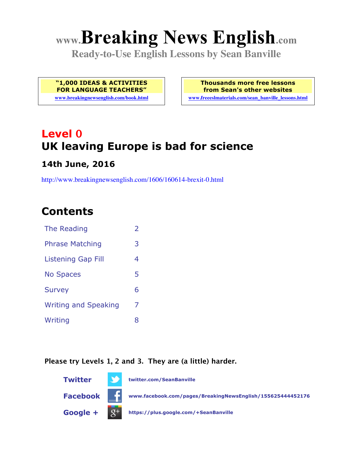# **www.Breaking News English.com**

**Ready-to-Use English Lessons by Sean Banville**

**"1,000 IDEAS & ACTIVITIES FOR LANGUAGE TEACHERS"**

**www.breakingnewsenglish.com/book.html**

**Thousands more free lessons from Sean's other websites www.freeeslmaterials.com/sean\_banville\_lessons.html**

# **Level 0 UK leaving Europe is bad for science**

#### **14th June, 2016**

http://www.breakingnewsenglish.com/1606/160614-brexit-0.html

### **Contents**

| The Reading                 | $\overline{\phantom{a}}$ |
|-----------------------------|--------------------------|
| <b>Phrase Matching</b>      | 3                        |
| <b>Listening Gap Fill</b>   | 4                        |
| <b>No Spaces</b>            | 5                        |
| <b>Survey</b>               | 6                        |
| <b>Writing and Speaking</b> | 7                        |
| Writing                     | 8                        |
|                             |                          |

#### **Please try Levels 1, 2 and 3. They are (a little) harder.**

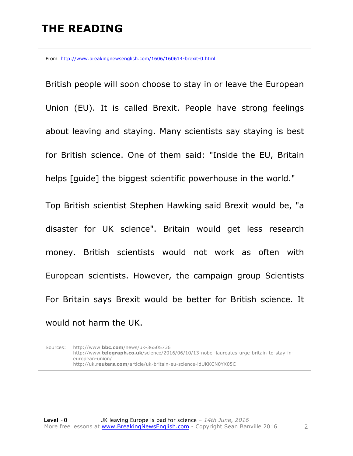### **THE READING**

From http://www.breakingnewsenglish.com/1606/160614-brexit-0.html

British people will soon choose to stay in or leave the European Union (EU). It is called Brexit. People have strong feelings about leaving and staying. Many scientists say staying is best for British science. One of them said: "Inside the EU, Britain helps [quide] the biggest scientific powerhouse in the world." Top British scientist Stephen Hawking said Brexit would be, "a

disaster for UK science". Britain would get less research money. British scientists would not work as often with European scientists. However, the campaign group Scientists For Britain says Brexit would be better for British science. It would not harm the UK.

Sources: http://www.**bbc.com**/news/uk-36505736 http://www.**telegraph.co.uk**/science/2016/06/10/13-nobel-laureates-urge-britain-to-stay-ineuropean-union/ http://uk.**reuters.com**/article/uk-britain-eu-science-idUKKCN0YX05C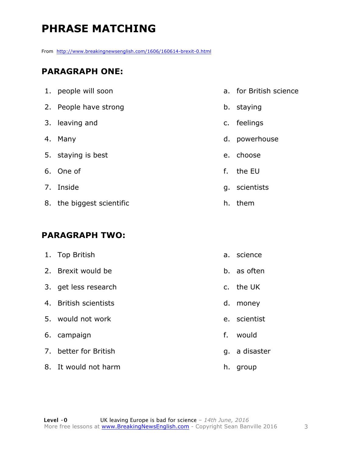## **PHRASE MATCHING**

From http://www.breakingnewsenglish.com/1606/160614-brexit-0.html

#### **PARAGRAPH ONE:**

| 1. people will soon       | a. for British science |
|---------------------------|------------------------|
| 2. People have strong     | b. staying             |
| 3. leaving and            | c. feelings            |
| 4. Many                   | d. powerhouse          |
| 5. staying is best        | e. choose              |
| 6. One of                 | f. the EU              |
| 7. Inside                 | g. scientists          |
| 8. the biggest scientific | h. them                |

#### **PARAGRAPH TWO:**

| 1. Top British        |             | a. science    |
|-----------------------|-------------|---------------|
| 2. Brexit would be    |             | b. as often   |
| 3. get less research  |             | c. the UK     |
| 4. British scientists | d.          | money         |
| 5. would not work     |             | e. scientist  |
| 6. campaign           | $f_{\cdot}$ | would         |
| 7. better for British |             | g. a disaster |
| 8. It would not harm  | h.          | group         |
|                       |             |               |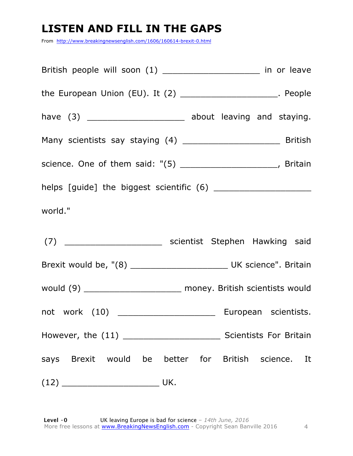### **LISTEN AND FILL IN THE GAPS**

From http://www.breakingnewsenglish.com/1606/160614-brexit-0.html

| British people will soon (1) ________________________ in or leave                          |
|--------------------------------------------------------------------------------------------|
| the European Union (EU). It (2) $\frac{1}{2}$ [20] $\frac{1}{2}$ [20] $\frac{1}{2}$ People |
| have (3) ___________________________ about leaving and staying.                            |
|                                                                                            |
| science. One of them said: "(5) _______________________, Britain                           |
|                                                                                            |
| world."                                                                                    |
| (7) ___________________________ scientist Stephen Hawking said                             |
|                                                                                            |
| would (9) _________________________ money. British scientists would                        |
|                                                                                            |
|                                                                                            |
| says Brexit would be better for British science. It                                        |
| $(12)$ UK.                                                                                 |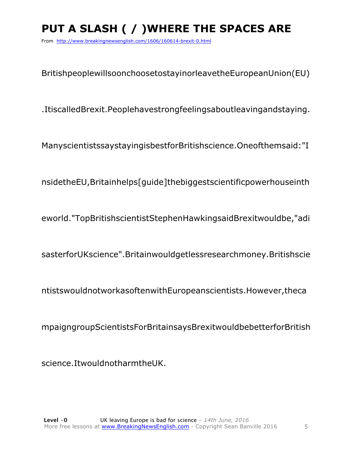# **PUT A SLASH ( / )WHERE THE SPACES ARE**

From http://www.breakingnewsenglish.com/1606/160614-brexit-0.html

BritishpeoplewillsoonchoosetostayinorleavetheEuropeanUnion(EU)

.ItiscalledBrexit.Peoplehavestrongfeelingsaboutleavingandstaying.

ManyscientistssaystayingisbestforBritishscience.Oneofthemsaid:"I

nsidetheEU,Britainhelps[guide]thebiggestscientificpowerhouseinth

eworld."TopBritishscientistStephenHawkingsaidBrexitwouldbe,"adi

sasterforUKscience".Britainwouldgetlessresearchmoney.Britishscie

ntistswouldnotworkasoftenwithEuropeanscientists.However,theca

mpaigngroupScientistsForBritainsaysBrexitwouldbebetterforBritish

science.ItwouldnotharmtheUK.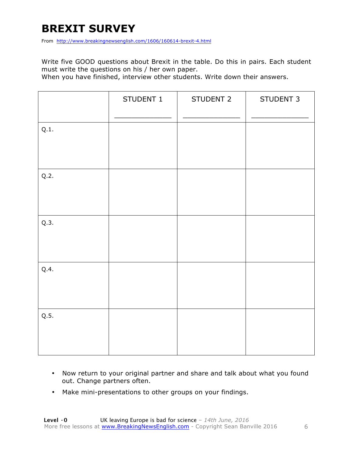### **BREXIT SURVEY**

From http://www.breakingnewsenglish.com/1606/160614-brexit-4.html

Write five GOOD questions about Brexit in the table. Do this in pairs. Each student must write the questions on his / her own paper.

When you have finished, interview other students. Write down their answers.

|      | STUDENT 1 | STUDENT 2 | STUDENT 3 |
|------|-----------|-----------|-----------|
| Q.1. |           |           |           |
| Q.2. |           |           |           |
| Q.3. |           |           |           |
| Q.4. |           |           |           |
| Q.5. |           |           |           |

- Now return to your original partner and share and talk about what you found out. Change partners often.
- Make mini-presentations to other groups on your findings.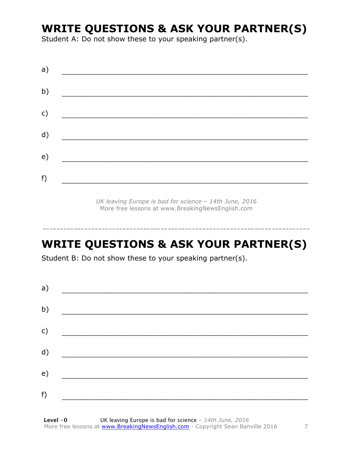### **WRITE QUESTIONS & ASK YOUR PARTNER(S)**

Student A: Do not show these to your speaking partner(s).

| a)            |  |  |
|---------------|--|--|
| b)            |  |  |
| $\mathsf{c})$ |  |  |
| d)            |  |  |
| e)            |  |  |
| f)            |  |  |
|               |  |  |

*UK leaving Europe is bad for science – 14th June, 2016* More free lessons at www.BreakingNewsEnglish.com

## **WRITE QUESTIONS & ASK YOUR PARTNER(S)**

-----------------------------------------------------------------------------

Student B: Do not show these to your speaking partner(s).

| a) |  |  |
|----|--|--|
| b) |  |  |
| c) |  |  |
| d) |  |  |
| e) |  |  |
| f) |  |  |
|    |  |  |